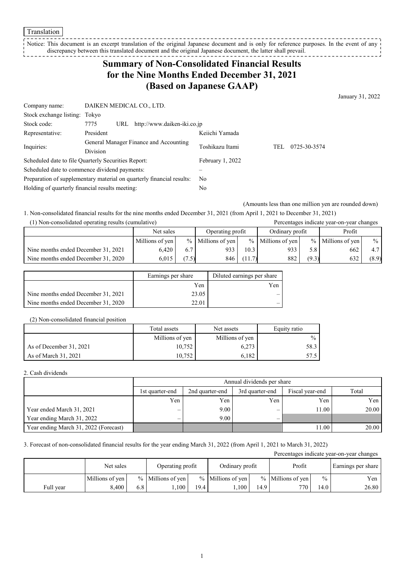Notice: This document is an excerpt translation of the original Japanese document and is only for reference purposes. In the event of any discrepancy between this translated document and the original Japanese document, the latter shall prevail.

## **Summary of Non-Consolidated Financial Results for the Nine Months Ended December 31, 2021 (Based on Japanese GAAP)**

January 31, 2022

| Company name:                                                         | DAIKEN MEDICAL CO., LTD.                   |                  |     |              |
|-----------------------------------------------------------------------|--------------------------------------------|------------------|-----|--------------|
| Stock exchange listing: Tokyo                                         |                                            |                  |     |              |
| Stock code:                                                           | http://www.daiken-iki.co.jp<br>7775<br>URL |                  |     |              |
| Representative:                                                       | President                                  | Keiichi Yamada   |     |              |
|                                                                       | General Manager Finance and Accounting     | Toshikazu Itami  | TEL | 0725-30-3574 |
| Inquiries:                                                            | Division                                   |                  |     |              |
| Scheduled date to file Quarterly Securities Report:                   |                                            | February 1, 2022 |     |              |
| Scheduled date to commence dividend payments:                         |                                            |                  |     |              |
| Preparation of supplementary material on quarterly financial results: |                                            | No.              |     |              |
| Holding of quarterly financial results meeting:                       |                                            | No               |     |              |

(Amounts less than one million yen are rounded down)

1. Non-consolidated financial results for the nine months ended December 31, 2021 (from April 1, 2021 to December 31, 2021) (1) Non-consolidated operating results (cumulative) Percentages indicate year-on-year changes

| (1) ivon-consondated operating results (cumulative) |                 |       | I Creentages mureate year-on-year enanges |        |                   |       |                     |               |        |  |
|-----------------------------------------------------|-----------------|-------|-------------------------------------------|--------|-------------------|-------|---------------------|---------------|--------|--|
|                                                     | Net sales       |       |                                           |        | Operating profit  |       | Ordinary profit     |               | Profit |  |
|                                                     | Millions of yen |       | $%$ Millions of yen                       |        | % Millions of yen |       | $%$ Millions of yen | $\frac{0}{0}$ |        |  |
| Nine months ended December 31, 2021                 | 6.420           | 6.7   | 933                                       | 10.3   | 933               | 5.8   | 662                 | 4.7           |        |  |
| Nine months ended December 31, 2020                 | 6.015           | (7.5) | 846                                       | (11.7) | 882               | (9.3) | 632                 | (8.9)         |        |  |

|                                     | Earnings per share | Diluted earnings per share |
|-------------------------------------|--------------------|----------------------------|
|                                     | Yen                | Yen                        |
| Nine months ended December 31, 2021 | 23.05              |                            |
| Nine months ended December 31, 2020 | 22.01              |                            |

(2) Non-consolidated financial position

|                         | Total assets    | Net assets      | Equity ratio  |
|-------------------------|-----------------|-----------------|---------------|
|                         | Millions of yen | Millions of yen | $\frac{0}{0}$ |
| As of December 31, 2021 | 10.752          | 6,273           | 58.3 I        |
| As of March 31, 2021    | 10.752          | 6.182           | 57.5 I        |

2. Cash dividends

|                                       |                          | Annual dividends per share |                 |                 |       |  |  |  |
|---------------------------------------|--------------------------|----------------------------|-----------------|-----------------|-------|--|--|--|
|                                       | 1st quarter-end          | 2nd quarter-end            | 3rd quarter-end | Fiscal year-end | Total |  |  |  |
|                                       | Yen                      | Yen                        | Yen             | Yen             | Yen   |  |  |  |
| Year ended March 31, 2021             | $\overline{\phantom{0}}$ | 9.00                       | –               | 11.00           | 20.00 |  |  |  |
| Year ending March 31, 2022            | -                        | 9.00                       |                 |                 |       |  |  |  |
| Year ending March 31, 2022 (Forecast) |                          |                            |                 | 11.00           | 20.00 |  |  |  |

3. Forecast of non-consolidated financial results for the year ending March 31, 2022 (from April 1, 2021 to March 31, 2022)

| Percentages indicate year-on-year changes |                 |                               |                     |      |                     |                 |                     |                  |       |  |                    |
|-------------------------------------------|-----------------|-------------------------------|---------------------|------|---------------------|-----------------|---------------------|------------------|-------|--|--------------------|
|                                           |                 | Operating profit<br>Net sales |                     |      |                     | Ordinary profit |                     |                  |       |  | Earnings per share |
|                                           | Millions of yen |                               | $%$ Millions of yen |      | $%$ Millions of yen |                 | $%$ Millions of ven | $\frac{0}{0}$    | Yen   |  |                    |
| Full year                                 | 5.400           | 6.8                           | .100                | 19.4 | .100                | 14.9            | 770                 | $\overline{4.0}$ | 26.80 |  |                    |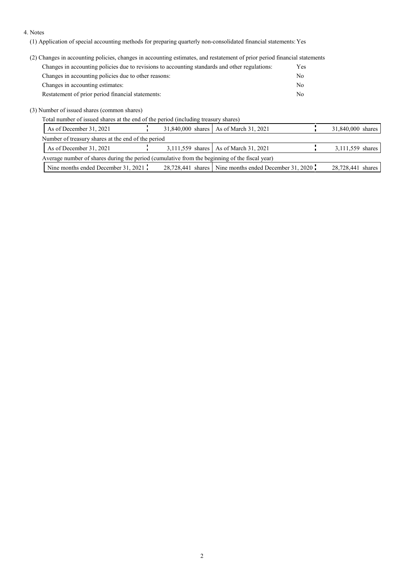## 4. Notes

(1) Application of special accounting methods for preparing quarterly non-consolidated financial statements: Yes

(2) Changes in accounting policies, changes in accounting estimates, and restatement of prior period financial statements

| Changes in accounting policies due to revisions to accounting standards and other regulations: | Yes |
|------------------------------------------------------------------------------------------------|-----|
| Changes in accounting policies due to other reasons:                                           | No  |
| Changes in accounting estimates:                                                               | No  |
| Restatement of prior period financial statements:                                              | Nο  |

(3) Number of issued shares (common shares)

Total number of issued shares at the end of the period (including treasury shares)

| As of December 31, 2021                                                                       |  | 31,840,000 shares   As of March 31, 2021              | 31,840,000 shares |
|-----------------------------------------------------------------------------------------------|--|-------------------------------------------------------|-------------------|
| Number of treasury shares at the end of the period                                            |  |                                                       |                   |
| As of December 31, 2021                                                                       |  | 3,111,559 shares   As of March 31, 2021               | 3,111,559 shares  |
| Average number of shares during the period (cumulative from the beginning of the fiscal year) |  |                                                       |                   |
| Nine months ended December 31, 2021                                                           |  | 28,728,441 shares Nine months ended December 31, 2020 | 28,728,441 shares |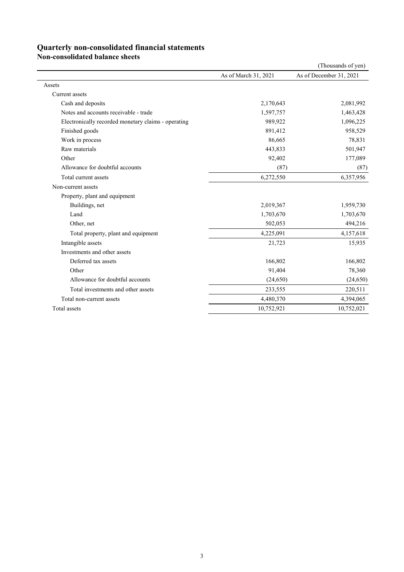## **Quarterly non-consolidated financial statements**

**Non-consolidated balance sheets**

|                                                     |                      | (Thousands of yen)      |
|-----------------------------------------------------|----------------------|-------------------------|
|                                                     | As of March 31, 2021 | As of December 31, 2021 |
| Assets                                              |                      |                         |
| Current assets                                      |                      |                         |
| Cash and deposits                                   | 2,170,643            | 2,081,992               |
| Notes and accounts receivable - trade               | 1,597,757            | 1,463,428               |
| Electronically recorded monetary claims - operating | 989,922              | 1,096,225               |
| Finished goods                                      | 891,412              | 958,529                 |
| Work in process                                     | 86,665               | 78,831                  |
| Raw materials                                       | 443,833              | 501,947                 |
| Other                                               | 92,402               | 177,089                 |
| Allowance for doubtful accounts                     | (87)                 | (87)                    |
| Total current assets                                | 6,272,550            | 6,357,956               |
| Non-current assets                                  |                      |                         |
| Property, plant and equipment                       |                      |                         |
| Buildings, net                                      | 2,019,367            | 1,959,730               |
| Land                                                | 1,703,670            | 1,703,670               |
| Other, net                                          | 502,053              | 494,216                 |
| Total property, plant and equipment                 | 4,225,091            | 4,157,618               |
| Intangible assets                                   | 21,723               | 15,935                  |
| Investments and other assets                        |                      |                         |
| Deferred tax assets                                 | 166,802              | 166,802                 |
| Other                                               | 91,404               | 78,360                  |
| Allowance for doubtful accounts                     | (24,650)             | (24, 650)               |
| Total investments and other assets                  | 233,555              | 220,511                 |
| Total non-current assets                            | 4,480,370            | 4,394,065               |
| Total assets                                        | 10,752,921           | 10,752,021              |
|                                                     |                      |                         |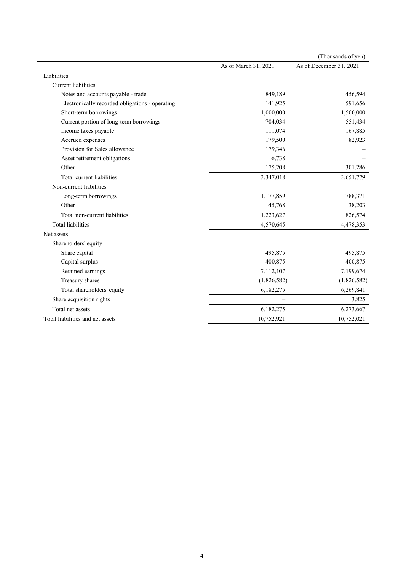|                                                 |                      | (Thousands of yen)      |
|-------------------------------------------------|----------------------|-------------------------|
|                                                 | As of March 31, 2021 | As of December 31, 2021 |
| Liabilities                                     |                      |                         |
| <b>Current liabilities</b>                      |                      |                         |
| Notes and accounts payable - trade              | 849,189              | 456,594                 |
| Electronically recorded obligations - operating | 141,925              | 591,656                 |
| Short-term borrowings                           | 1,000,000            | 1,500,000               |
| Current portion of long-term borrowings         | 704,034              | 551,434                 |
| Income taxes payable                            | 111,074              | 167,885                 |
| Accrued expenses                                | 179,500              | 82,923                  |
| Provision for Sales allowance                   | 179,346              |                         |
| Asset retirement obligations                    | 6,738                |                         |
| Other                                           | 175,208              | 301,286                 |
| Total current liabilities                       | 3,347,018            | 3,651,779               |
| Non-current liabilities                         |                      |                         |
| Long-term borrowings                            | 1,177,859            | 788,371                 |
| Other                                           | 45,768               | 38,203                  |
| Total non-current liabilities                   | 1,223,627            | 826,574                 |
| <b>Total liabilities</b>                        | 4,570,645            | 4,478,353               |
| Net assets                                      |                      |                         |
| Shareholders' equity                            |                      |                         |
| Share capital                                   | 495,875              | 495,875                 |
| Capital surplus                                 | 400,875              | 400,875                 |
| Retained earnings                               | 7,112,107            | 7,199,674               |
| Treasury shares                                 | (1,826,582)          | (1,826,582)             |
| Total shareholders' equity                      | 6,182,275            | 6,269,841               |
| Share acquisition rights                        |                      | 3,825                   |
| Total net assets                                | 6,182,275            | 6,273,667               |
| Total liabilities and net assets                | 10,752,921           | 10,752,021              |